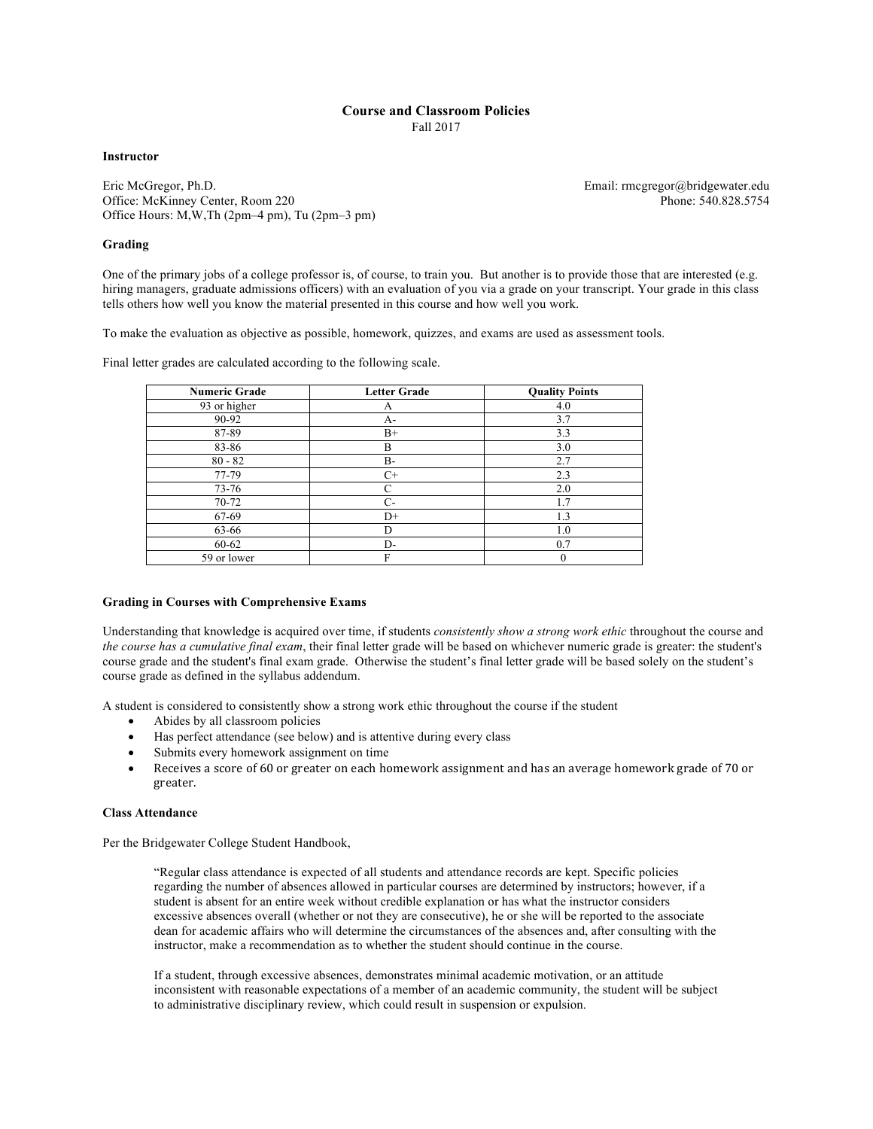# **Course and Classroom Policies**

Fall 2017

**Instructor**

Eric McGregor, Ph.D. Office: McKinney Center, Room 220 Office Hours: M,W,Th (2pm–4 pm), Tu (2pm–3 pm)

# **Grading**

One of the primary jobs of a college professor is, of course, to train you. But another is to provide those that are interested (e.g. hiring managers, graduate admissions officers) with an evaluation of you via a grade on your transcript. Your grade in this class tells others how well you know the material presented in this course and how well you work.

To make the evaluation as objective as possible, homework, quizzes, and exams are used as assessment tools.

Final letter grades are calculated according to the following scale.

| <b>Numeric Grade</b> | <b>Letter Grade</b> | <b>Quality Points</b> |
|----------------------|---------------------|-----------------------|
| 93 or higher         | А                   | 4.0                   |
| 90-92                | $A-$                | 3.7                   |
| 87-89                | $B+$                | 3.3                   |
| 83-86                | B                   | 3.0                   |
| $80 - 82$            | <b>B-</b>           | 2.7                   |
| 77-79                | $C+$                | 2.3                   |
| $73 - 76$            | C                   | 2.0                   |
| $70 - 72$            | $C-$                | 1.7                   |
| 67-69                | $D+$                | 1.3                   |
| 63-66                | D                   | 1.0                   |
| 60-62                | D-                  | 0.7                   |
| 59 or lower          | F                   | $\mathbf{0}$          |

# **Grading in Courses with Comprehensive Exams**

Understanding that knowledge is acquired over time, if students *consistently show a strong work ethic* throughout the course and *the course has a cumulative final exam*, their final letter grade will be based on whichever numeric grade is greater: the student's course grade and the student's final exam grade. Otherwise the student's final letter grade will be based solely on the student's course grade as defined in the syllabus addendum.

A student is considered to consistently show a strong work ethic throughout the course if the student

- Abides by all classroom policies
- Has perfect attendance (see below) and is attentive during every class
- Submits every homework assignment on time
- Receives a score of 60 or greater on each homework assignment and has an average homework grade of 70 or greater.

# **Class Attendance**

Per the Bridgewater College Student Handbook,

"Regular class attendance is expected of all students and attendance records are kept. Specific policies regarding the number of absences allowed in particular courses are determined by instructors; however, if a student is absent for an entire week without credible explanation or has what the instructor considers excessive absences overall (whether or not they are consecutive), he or she will be reported to the associate dean for academic affairs who will determine the circumstances of the absences and, after consulting with the instructor, make a recommendation as to whether the student should continue in the course.

If a student, through excessive absences, demonstrates minimal academic motivation, or an attitude inconsistent with reasonable expectations of a member of an academic community, the student will be subject to administrative disciplinary review, which could result in suspension or expulsion.

Email: rmcgregor@bridgewater.edu Phone: 540.828.5754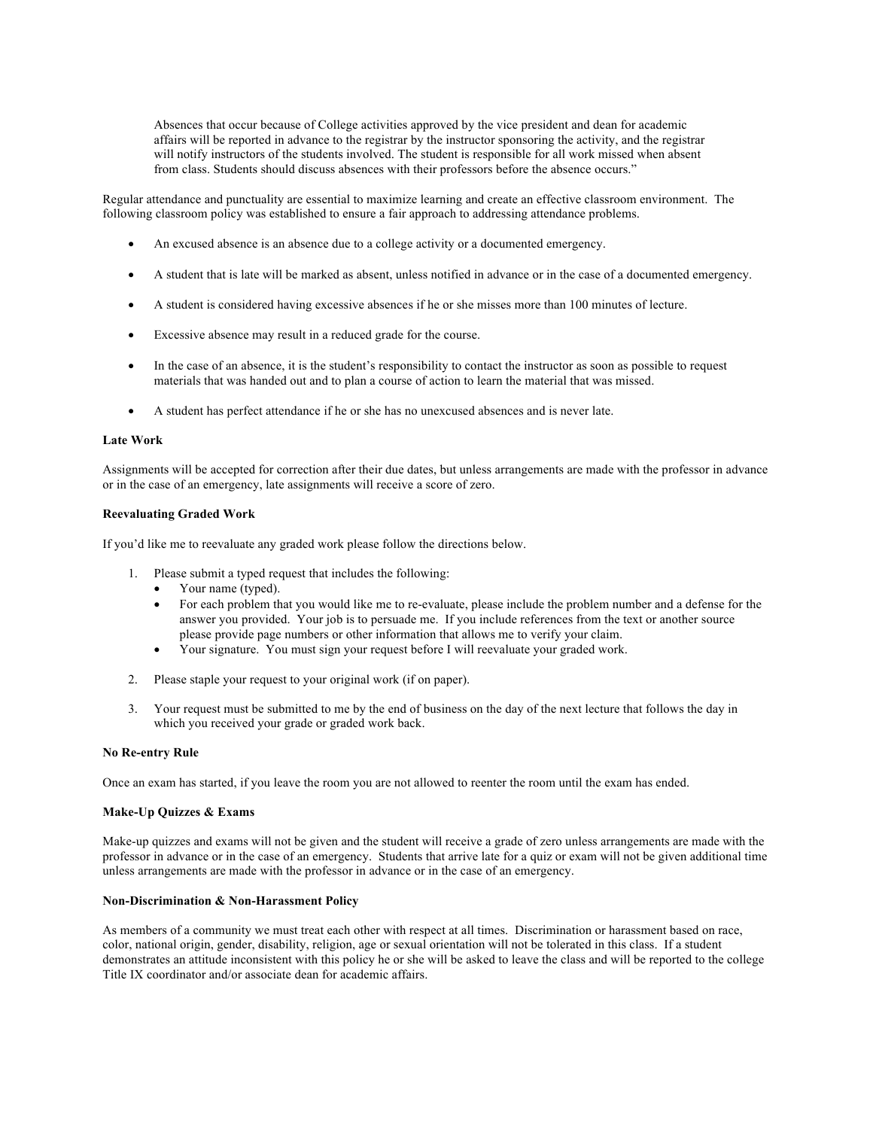Absences that occur because of College activities approved by the vice president and dean for academic affairs will be reported in advance to the registrar by the instructor sponsoring the activity, and the registrar will notify instructors of the students involved. The student is responsible for all work missed when absent from class. Students should discuss absences with their professors before the absence occurs."

Regular attendance and punctuality are essential to maximize learning and create an effective classroom environment. The following classroom policy was established to ensure a fair approach to addressing attendance problems.

- An excused absence is an absence due to a college activity or a documented emergency.
- A student that is late will be marked as absent, unless notified in advance or in the case of a documented emergency.
- A student is considered having excessive absences if he or she misses more than 100 minutes of lecture.
- Excessive absence may result in a reduced grade for the course.
- In the case of an absence, it is the student's responsibility to contact the instructor as soon as possible to request materials that was handed out and to plan a course of action to learn the material that was missed.
- A student has perfect attendance if he or she has no unexcused absences and is never late.

## **Late Work**

Assignments will be accepted for correction after their due dates, but unless arrangements are made with the professor in advance or in the case of an emergency, late assignments will receive a score of zero.

#### **Reevaluating Graded Work**

If you'd like me to reevaluate any graded work please follow the directions below.

- 1. Please submit a typed request that includes the following:
	- Your name (typed).
	- For each problem that you would like me to re-evaluate, please include the problem number and a defense for the answer you provided. Your job is to persuade me. If you include references from the text or another source please provide page numbers or other information that allows me to verify your claim.
	- Your signature. You must sign your request before I will reevaluate your graded work.
- 2. Please staple your request to your original work (if on paper).
- 3. Your request must be submitted to me by the end of business on the day of the next lecture that follows the day in which you received your grade or graded work back.

# **No Re-entry Rule**

Once an exam has started, if you leave the room you are not allowed to reenter the room until the exam has ended.

#### **Make-Up Quizzes & Exams**

Make-up quizzes and exams will not be given and the student will receive a grade of zero unless arrangements are made with the professor in advance or in the case of an emergency. Students that arrive late for a quiz or exam will not be given additional time unless arrangements are made with the professor in advance or in the case of an emergency.

## **Non-Discrimination & Non-Harassment Policy**

As members of a community we must treat each other with respect at all times. Discrimination or harassment based on race, color, national origin, gender, disability, religion, age or sexual orientation will not be tolerated in this class. If a student demonstrates an attitude inconsistent with this policy he or she will be asked to leave the class and will be reported to the college Title IX coordinator and/or associate dean for academic affairs.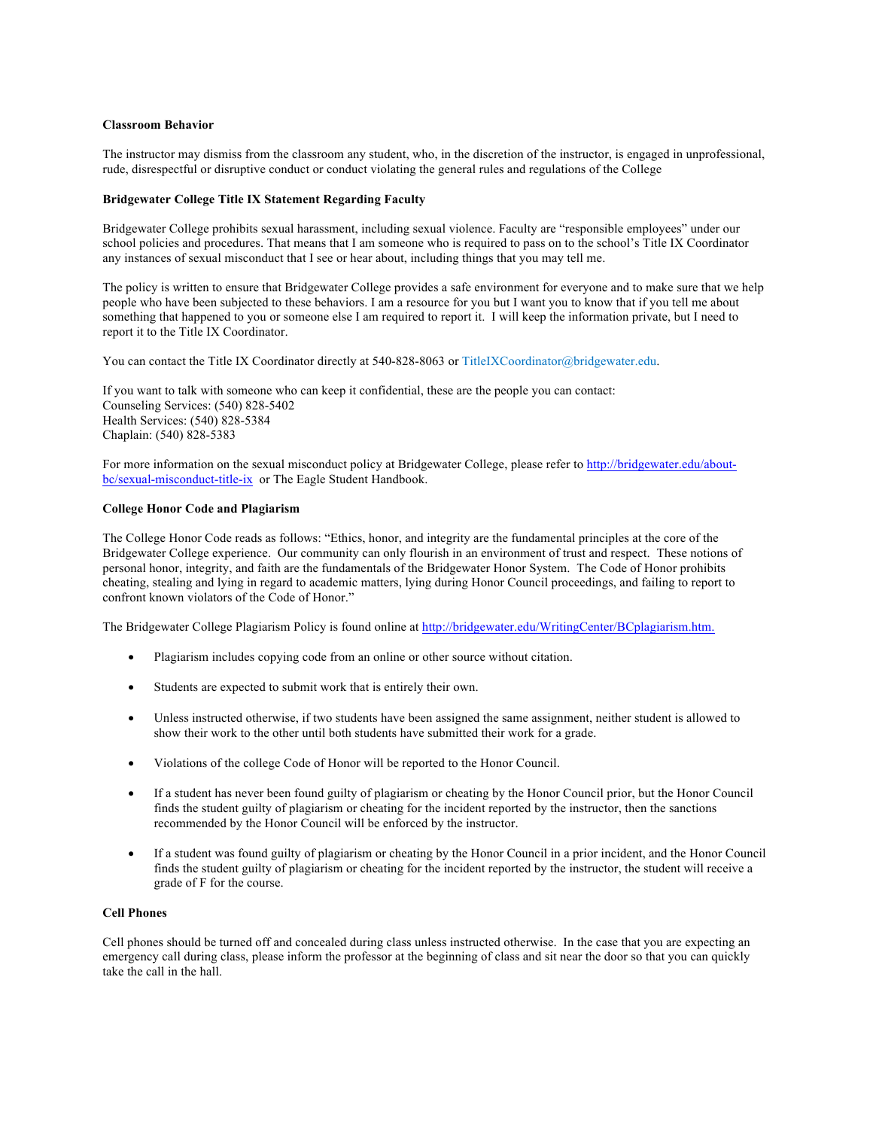## **Classroom Behavior**

The instructor may dismiss from the classroom any student, who, in the discretion of the instructor, is engaged in unprofessional, rude, disrespectful or disruptive conduct or conduct violating the general rules and regulations of the College

#### **Bridgewater College Title IX Statement Regarding Faculty**

Bridgewater College prohibits sexual harassment, including sexual violence. Faculty are "responsible employees" under our school policies and procedures. That means that I am someone who is required to pass on to the school's Title IX Coordinator any instances of sexual misconduct that I see or hear about, including things that you may tell me.

The policy is written to ensure that Bridgewater College provides a safe environment for everyone and to make sure that we help people who have been subjected to these behaviors. I am a resource for you but I want you to know that if you tell me about something that happened to you or someone else I am required to report it. I will keep the information private, but I need to report it to the Title IX Coordinator.

You can contact the Title IX Coordinator directly at 540-828-8063 or TitleIXCoordinator@bridgewater.edu.

If you want to talk with someone who can keep it confidential, these are the people you can contact: Counseling Services: (540) 828-5402 Health Services: (540) 828-5384 Chaplain: (540) 828-5383

For more information on the sexual misconduct policy at Bridgewater College, please refer to http://bridgewater.edu/aboutbc/sexual-misconduct-title-ix or The Eagle Student Handbook.

# **College Honor Code and Plagiarism**

The College Honor Code reads as follows: "Ethics, honor, and integrity are the fundamental principles at the core of the Bridgewater College experience. Our community can only flourish in an environment of trust and respect. These notions of personal honor, integrity, and faith are the fundamentals of the Bridgewater Honor System. The Code of Honor prohibits cheating, stealing and lying in regard to academic matters, lying during Honor Council proceedings, and failing to report to confront known violators of the Code of Honor."

The Bridgewater College Plagiarism Policy is found online at http://bridgewater.edu/WritingCenter/BCplagiarism.htm.

- Plagiarism includes copying code from an online or other source without citation.
- Students are expected to submit work that is entirely their own.
- Unless instructed otherwise, if two students have been assigned the same assignment, neither student is allowed to show their work to the other until both students have submitted their work for a grade.
- Violations of the college Code of Honor will be reported to the Honor Council.
- If a student has never been found guilty of plagiarism or cheating by the Honor Council prior, but the Honor Council finds the student guilty of plagiarism or cheating for the incident reported by the instructor, then the sanctions recommended by the Honor Council will be enforced by the instructor.
- If a student was found guilty of plagiarism or cheating by the Honor Council in a prior incident, and the Honor Council finds the student guilty of plagiarism or cheating for the incident reported by the instructor, the student will receive a grade of F for the course.

# **Cell Phones**

Cell phones should be turned off and concealed during class unless instructed otherwise. In the case that you are expecting an emergency call during class, please inform the professor at the beginning of class and sit near the door so that you can quickly take the call in the hall.